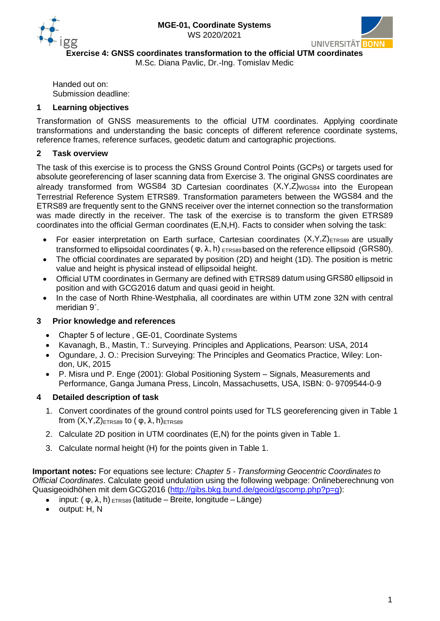



**Exercise 4: GNSS coordinates transformation to the official UTM coordinates**

M.Sc. Diana Pavlic, Dr.-Ing. Tomislav Medic

Handed out on: Submission deadline:

## **1 Learning objectives**

Transformation of GNSS measurements to the official UTM coordinates. Applying coordinate transformations and understanding the basic concepts of different reference coordinate systems, reference frames, reference surfaces, geodetic datum and cartographic projections.

## **2 Task overview**

The task of this exercise is to process the GNSS Ground Control Points (GCPs) or targets used for absolute georeferencing of laser scanning data from Exercise 3. The original GNSS coordinates are already transformed from WGS84 3D Cartesian coordinates (X,Y,Z)WGS84 into the European Terrestrial Reference System ETRS89. Transformation parameters between the WGS84 and the ETRS89 are frequently sent to the GNNS receiver over the internet connection so the transformation was made directly in the receiver. The task of the exercise is to transform the given ETRS89 coordinates into the official German coordinates (E,N,H). Facts to consider when solving the task:

- For easier interpretation on Earth surface, Cartesian coordinates  $(X,Y,Z)$ ETRS89 are usually transformed to ellipsoidal coordinates  $(\varphi, \lambda, h)$  ETRS89 based on the reference ellipsoid (GRS80).
- The official coordinates are separated by position (2D) and height (1D). The position is metric value and height is physical instead of ellipsoidal height.
- Official UTM coordinates in Germany are defined with ETRS89 datum using GRS80 ellipsoid in position and with GCG2016 datum and quasi geoid in height.
- In the case of North Rhine-Westphalia, all coordinates are within UTM zone 32N with central meridian 9˚.

#### **3 Prior knowledge and references**

- Chapter 5 of lecture, GE-01, Coordinate Systems
- Kavanagh, B., Mastin, T.: Surveying. Principles and Applications, Pearson: USA, 2014
- Ogundare, J. O.: Precision Surveying: The Principles and Geomatics Practice, Wiley: London, UK, 2015
- P. Misra und P. Enge (2001): Global Positioning System Signals, Measurements and Performance, Ganga Jumana Press, Lincoln, Massachusetts, USA, ISBN: 0- 9709544-0-9

# **4 Detailed description of task**

- 1. Convert coordinates of the ground control points used for TLS georeferencing given in Table 1 from  $(X, Y, Z)$ <sub>ETRS89</sub> to  $( φ, λ, h)$ <sub>ETRS89</sub>
- 2. Calculate 2D position in UTM coordinates (E,N) for the points given in Table 1.
- 3. Calculate normal height (H) for the points given in Table 1.

**Important notes:** For equations see lecture: *Chapter 5 - Transforming Geocentric Coordinates to Official Coordinates*. Calculate geoid undulation using the following webpage: Onlineberechnung von Quasigeoidhöhen mit dem GCG2016 [\(http://gibs.bkg.bund.de/geoid/gscomp.php?p=g\)](http://gibs.bkg.bund.de/geoid/gscomp.php?p=g):

- input:  $(\varphi, \lambda, h)$  <sub>ETRS89</sub> (latitude Breite, longitude Länge)
- output: H, N